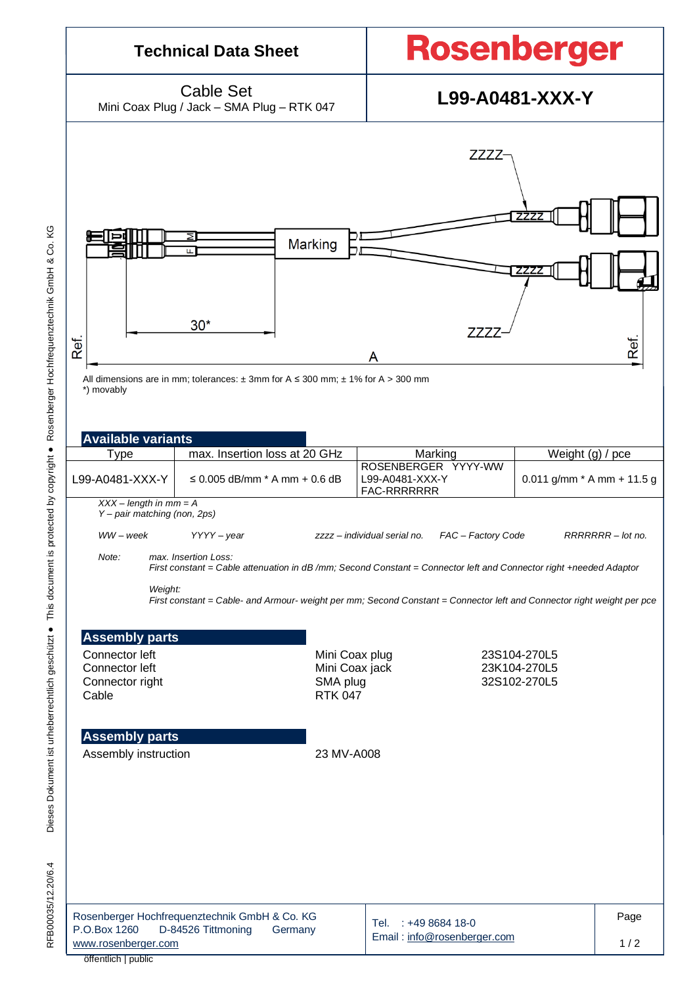

Dieses Dokument ist urheberrechtlich geschützt ● This document is protected by copyright ● Rosenberger Hochfrequenztechnik GmbH & Co. KG Dieses Dokument ist urheberrechtlich geschützt · This document is protected by copyright · Rosenberger Hochfrequenztechnik GmbH & Co. RFB00035/12.20/6.4 RFB00035/12.20/6.4

KG

öffentlich | public